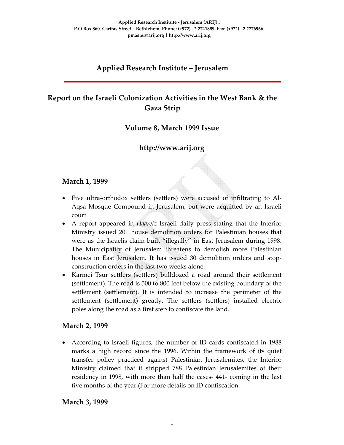# **Applied Research Institute – Jerusalem**

# **Report on the Israeli Colonization Activities in the West Bank & the Gaza Strip**

## **Volume 8, March 1999 Issue**

# **http://www.arij.org**

#### **March 1, 1999**

- Five ultra‐orthodox settlers (settlers) were accused of infiltrating to Al‐ Aqsa Mosque Compound in Jerusalem, but were acquitted by an Israeli court.
- A report appeared in *Haaretz* Israeli daily press stating that the Interior Ministry issued 201 house demolition orders for Palestinian houses that were as the Israelis claim built "illegally" in East Jerusalem during 1998. The Municipality of Jerusalem threatens to demolish more Palestinian houses in East Jerusalem. It has issued 30 demolition orders and stop‐ construction orders in the last two weeks alone.
- Karmei Tsur settlers (settlers) bulldozed a road around their settlement (settlement). The road is 500 to 800 feet below the existing boundary of the settlement (settlement). It is intended to increase the perimeter of the settlement (settlement) greatly. The settlers (settlers) installed electric poles along the road as a first step to confiscate the land.

#### **March 2, 1999**

• According to Israeli figures, the number of ID cards confiscated in 1988 marks a high record since the 1996. Within the framework of its quiet transfer policy practiced against Palestinian Jerusalemites, the Interior Ministry claimed that it stripped 788 Palestinian Jerusalemites of their residency in 1998, with more than half the cases‐ 441‐ coming in the last five months of the year.(For more details on ID confiscation.

#### **March 3, 1999**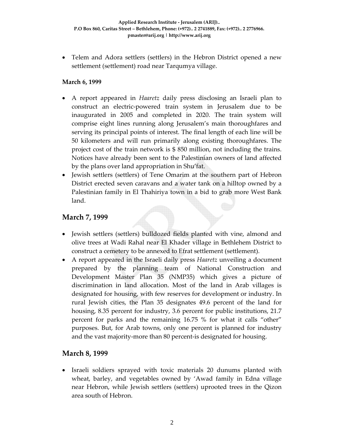• Telem and Adora settlers (settlers) in the Hebron District opened a new settlement (settlement) road near Tarqumya village.

#### **March 6, 1999**

- A report appeared in *Haaretz* daily press disclosing an Israeli plan to construct an electric‐powered train system in Jerusalem due to be inaugurated in 2005 and completed in 2020. The train system will comprise eight lines running along Jerusalem's main thoroughfares and serving its principal points of interest. The final length of each line will be 50 kilometers and will run primarily along existing thoroughfares. The project cost of the train network is \$ 850 million, not including the trains. Notices have already been sent to the Palestinian owners of land affected by the plans over land appropriation in Shu'fat.
- Jewish settlers (settlers) of Tene Omarim at the southern part of Hebron District erected seven caravans and a water tank on a hilltop owned by a Palestinian family in El Thahiriya town in a bid to grab more West Bank land.

#### **March 7, 1999**

- Jewish settlers (settlers) bulldozed fields planted with vine, almond and olive trees at Wadi Rahal near El Khader village in Bethlehem District to construct a cemetery to be annexed to Efrat settlement (settlement).
- A report appeared in the Israeli daily press *Haaretz* unveiling a document prepared by the planning team of National Construction and Development Master Plan 35 (NMP35) which gives a picture of discrimination in land allocation. Most of the land in Arab villages is designated for housing, with few reserves for development or industry. In rural Jewish cities, the Plan 35 designates 49.6 percent of the land for housing, 8.35 percent for industry, 3.6 percent for public institutions, 21.7 percent for parks and the remaining 16.75 % for what it calls "other" purposes. But, for Arab towns, only one percent is planned for industry and the vast majority‐more than 80 percent‐is designated for housing.

#### **March 8, 1999**

• Israeli soldiers sprayed with toxic materials 20 dunums planted with wheat, barley, and vegetables owned by 'Awad family in Edna village near Hebron, while Jewish settlers (settlers) uprooted trees in the Qizon area south of Hebron.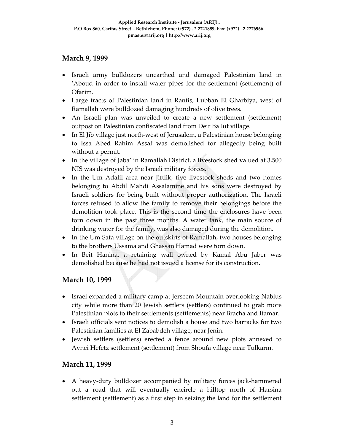# **March 9, 1999**

- Israeli army bulldozers unearthed and damaged Palestinian land in 'Aboud in order to install water pipes for the settlement (settlement) of Ofarim.
- Large tracts of Palestinian land in Rantis, Lubban El Gharbiya, west of Ramallah were bulldozed damaging hundreds of olive trees.
- An Israeli plan was unveiled to create a new settlement (settlement) outpost on Palestinian confiscated land from Deir Ballut village.
- In El Jib village just north-west of Jerusalem, a Palestinian house belonging to Issa Abed Rahim Assaf was demolished for allegedly being built without a permit.
- In the village of Jaba' in Ramallah District, a livestock shed valued at 3,500 NIS was destroyed by the Israeli military forces.
- In the Um Adalil area near Jiftlik, five livestock sheds and two homes belonging to Abdil Mahdi Assalamine and his sons were destroyed by Israeli soldiers for being built without proper authorization. The Israeli forces refused to allow the family to remove their belongings before the demolition took place. This is the second time the enclosures have been torn down in the past three months. A water tank, the main source of drinking water for the family, was also damaged during the demolition.
- In the Um Safa village on the outskirts of Ramallah, two houses belonging to the brothers Ussama and Ghassan Hamad were torn down.
- In Beit Hanina, a retaining wall owned by Kamal Abu Jaber was demolished because he had not issued a license for its construction.

## **March 10, 1999**

- Israel expanded a military camp at Jerseem Mountain overlooking Nablus city while more than 20 Jewish settlers (settlers) continued to grab more Palestinian plots to their settlements (settlements) near Bracha and Itamar.
- Israeli officials sent notices to demolish a house and two barracks for two Palestinian families at El Zababdeh village, near Jenin.
- Jewish settlers (settlers) erected a fence around new plots annexed to Avnei Hefetz settlement (settlement) from Shoufa village near Tulkarm.

## **March 11, 1999**

• A heavy-duty bulldozer accompanied by military forces jack-hammered out a road that will eventually encircle a hilltop north of Harsina settlement (settlement) as a first step in seizing the land for the settlement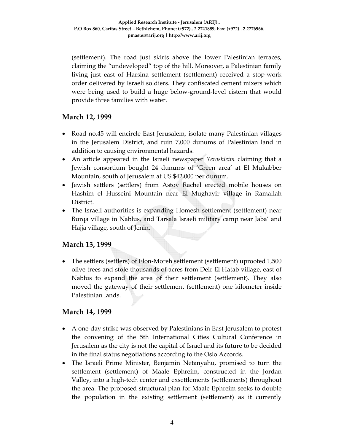(settlement). The road just skirts above the lower Palestinian terraces, claiming the "undeveloped" top of the hill. Moreover, a Palestinian family living just east of Harsina settlement (settlement) received a stop‐work order delivered by Israeli soldiers. They confiscated cement mixers which were being used to build a huge below-ground-level cistern that would provide three families with water.

#### **March 12, 1999**

- Road no.45 will encircle East Jerusalem, isolate many Palestinian villages in the Jerusalem District, and ruin 7,000 dunums of Palestinian land in addition to causing environmental hazards.
- An article appeared in the Israeli newspaper *Yeroshleim* claiming that a Jewish consortium bought 24 dunums of 'Green area' at El Mukabber Mountain, south of Jerusalem at US \$42,000 per dunum.
- Jewish settlers (settlers) from Astov Rachel erected mobile houses on Hashim el Husseini Mountain near El Mughayir village in Ramallah District.
- The Israeli authorities is expanding Homesh settlement (settlement) near Burqa village in Nablus, and Tarsala Israeli military camp near Jaba' and Hajja village, south of Jenin.

## **March 13, 1999**

• The settlers (settlers) of Elon-Moreh settlement (settlement) uprooted 1,500 olive trees and stole thousands of acres from Deir El Hatab village, east of Nablus to expand the area of their settlement (settlement). They also moved the gateway of their settlement (settlement) one kilometer inside Palestinian lands.

## **March 14, 1999**

- A one-day strike was observed by Palestinians in East Jerusalem to protest the convening of the 5th International Cities Cultural Conference in Jerusalem as the city is not the capital of Israel and its future to be decided in the final status negotiations according to the Oslo Accords.
- The Israeli Prime Minister, Benjamin Netanyahu, promised to turn the settlement (settlement) of Maale Ephreim, constructed in the Jordan Valley, into a high‐tech center and exsettlements (settlements) throughout the area. The proposed structural plan for Maale Ephreim seeks to double the population in the existing settlement (settlement) as it currently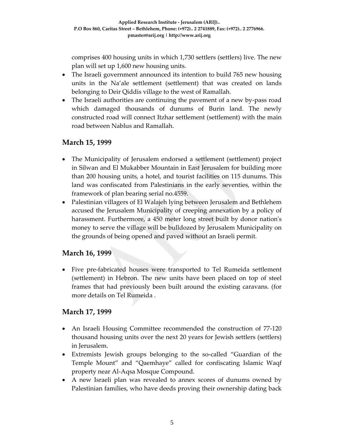comprises 400 housing units in which 1,730 settlers (settlers) live. The new plan will set up 1,600 new housing units.

- The Israeli government announced its intention to build 765 new housing units in the Na'ale settlement (settlement) that was created on lands belonging to Deir Qiddis village to the west of Ramallah.
- The Israeli authorities are continuing the pavement of a new by-pass road which damaged thousands of dunums of Burin land. The newly constructed road will connect Itzhar settlement (settlement) with the main road between Nablus and Ramallah.

# **March 15, 1999**

- The Municipality of Jerusalem endorsed a settlement (settlement) project in Silwan and El Mukabber Mountain in East Jerusalem for building more than 200 housing units, a hotel, and tourist facilities on 115 dunums. This land was confiscated from Palestinians in the early seventies, within the framework of plan bearing serial no.4559.
- Palestinian villagers of El Walajeh lying between Jerusalem and Bethlehem accused the Jerusalem Municipality of creeping annexation by a policy of harassment. Furthermore, a 450 meter long street built by donor nation's money to serve the village will be bulldozed by Jerusalem Municipality on the grounds of being opened and paved without an Israeli permit.

# **March 16, 1999**

• Five pre-fabricated houses were transported to Tel Rumeida settlement (settlement) in Hebron. The new units have been placed on top of steel frames that had previously been built around the existing caravans. (for more details on Tel Rumeida .

## **March 17, 1999**

- An Israeli Housing Committee recommended the construction of 77-120 thousand housing units over the next 20 years for Jewish settlers (settlers) in Jerusalem.
- Extremists Jewish groups belonging to the so-called "Guardian of the Temple Mount" and "Qaemhaye" called for confiscating Islamic Waqf property near Al‐Aqsa Mosque Compound.
- A new Israeli plan was revealed to annex scores of dunums owned by Palestinian families, who have deeds proving their ownership dating back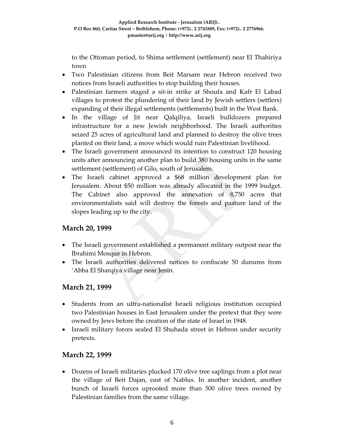to the Ottoman period, to Shima settlement (settlement) near El Thahiriya town

- Two Palestinian citizens from Beit Marsam near Hebron received two notices from Israeli authorities to stop building their houses.
- Palestinian farmers staged a sit-in strike at Shoufa and Kafr El Labad villages to protest the plundering of their land by Jewish settlers (settlers) expanding of their illegal settlements (settlements) built in the West Bank.
- In the village of Jit near Qalqiliya, Israeli bulldozers prepared infrastructure for a new Jewish neighborhood. The Israeli authorities seized 25 acres of agricultural land and planned to destroy the olive trees planted on their land, a move which would ruin Palestinian livelihood.
- The Israeli government announced its intention to construct 120 housing units after announcing another plan to build 380 housing units in the same settlement (settlement) of Gilo, south of Jerusalem.
- The Israeli cabinet approved a \$68 million development plan for Jerusalem. About \$50 million was already allocated in the 1999 budget. The Cabinet also approved the annexation of 8,750 acres that environmentalists said will destroy the forests and pasture land of the slopes leading up to the city.

## **March 20, 1999**

- The Israeli government established a permanent military outpost near the Ibrahimi Mosque in Hebron.
- The Israeli authorities delivered notices to confiscate 50 dunums from 'Abba El Sharqiya village near Jenin.

## **March 21, 1999**

- Students from an ultra-nationalist Israeli religious institution occupied two Palestinian houses in East Jerusalem under the pretext that they were owned by Jews before the creation of the state of Israel in 1948.
- Israeli military forces sealed El Shuhada street in Hebron under security pretexts.

## **March 22, 1999**

• Dozens of Israeli militaries plucked 170 olive tree saplings from a plot near the village of Beit Dajan, east of Nablus. In another incident, another bunch of Israeli forces uprooted more than 500 olive trees owned by Palestinian families from the same village.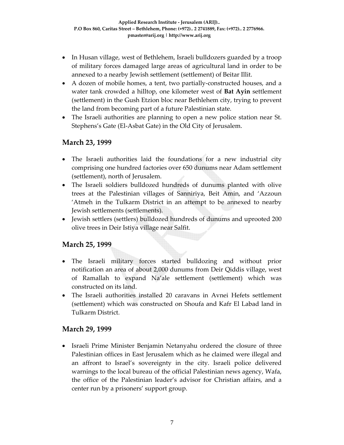- In Husan village, west of Bethlehem, Israeli bulldozers guarded by a troop of military forces damaged large areas of agricultural land in order to be annexed to a nearby Jewish settlement (settlement) of Beitar Illit.
- A dozen of mobile homes, a tent, two partially-constructed houses, and a water tank crowded a hilltop, one kilometer west of **Bat Ayin** settlement (settlement) in the Gush Etzion bloc near Bethlehem city, trying to prevent the land from becoming part of a future Palestinian state.
- The Israeli authorities are planning to open a new police station near St. Stephens's Gate (El‐Asbat Gate) in the Old City of Jerusalem.

# **March 23, 1999**

- The Israeli authorities laid the foundations for a new industrial city comprising one hundred factories over 650 dunums near Adam settlement (settlement), north of Jerusalem.
- The Israeli soldiers bulldozed hundreds of dunums planted with olive trees at the Palestinian villages of Sanniriya, Beit Amin, and 'Azzoun 'Atmeh in the Tulkarm District in an attempt to be annexed to nearby Jewish settlements (settlements).
- Jewish settlers (settlers) bulldozed hundreds of dunums and uprooted 200 olive trees in Deir Istiya village near Salfit.

## **March 25, 1999**

- The Israeli military forces started bulldozing and without prior notification an area of about 2,000 dunums from Deir Qiddis village, west of Ramallah to expand Na'ale settlement (settlement) which was constructed on its land.
- The Israeli authorities installed 20 caravans in Avnei Hefets settlement (settlement) which was constructed on Shoufa and Kafr El Labad land in Tulkarm District.

## **March 29, 1999**

• Israeli Prime Minister Benjamin Netanyahu ordered the closure of three Palestinian offices in East Jerusalem which as he claimed were illegal and an affront to Israel's sovereignty in the city. Israeli police delivered warnings to the local bureau of the official Palestinian news agency, Wafa, the office of the Palestinian leader's advisor for Christian affairs, and a center run by a prisoners' support group.